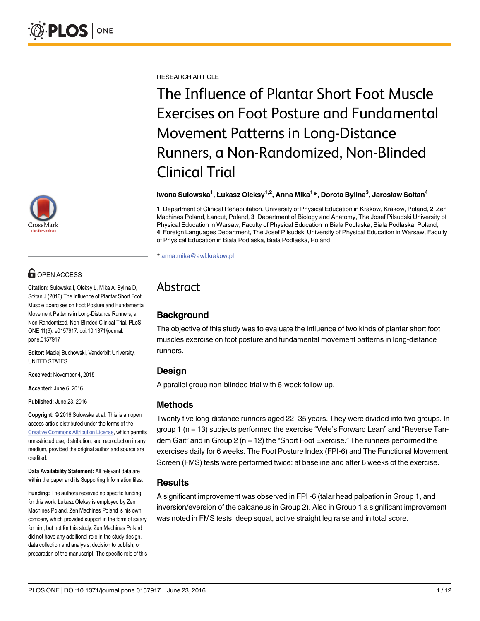

# **OPEN ACCESS**

Citation: Sulowska I, Oleksy Ł, Mika A, Bylina D, Sołtan J (2016) The Influence of Plantar Short Foot Muscle Exercises on Foot Posture and Fundamental Movement Patterns in Long-Distance Runners, a Non-Randomized, Non-Blinded Clinical Trial. PLoS ONE 11(6): e0157917. doi:10.1371/journal. pone.0157917

Editor: Maciej Buchowski, Vanderbilt University, UNITED STATES

Received: November 4, 2015

Accepted: June 6, 2016

Published: June 23, 2016

Copyright: © 2016 Sulowska et al. This is an open access article distributed under the terms of the [Creative Commons Attribution License,](http://creativecommons.org/licenses/by/4.0/) which permits unrestricted use, distribution, and reproduction in any medium, provided the original author and source are credited.

Data Availability Statement: All relevant data are within the paper and its Supporting Information files.

Funding: The authors received no specific funding for this work. Łukasz Oleksy is employed by Zen Machines Poland. Zen Machines Poland is his own company which provided support in the form of salary for him, but not for this study. Zen Machines Poland did not have any additional role in the study design. data collection and analysis, decision to publish, or preparation of the manuscript. The specific role of this RESEARCH ARTICLE

The Influence of Plantar Short Foot Muscle Exercises on Foot Posture and Fundamental Movement Patterns in Long-Distance Runners, a Non-Randomized, Non-Blinded Clinical Trial

#### lwona Sulowska<sup>1</sup>, Łukasz Oleksy<sup>1,2</sup>, Anna Mika<sup>1</sup> \*, Dorota Bylina<sup>3</sup>, Jarosław Sołtan<sup>4</sup>

1 Department of Clinical Rehabilitation, University of Physical Education in Krakow, Krakow, Poland, 2 Zen Machines Poland, Łańcut, Poland, 3 Department of Biology and Anatomy, The Josef Pilsudski University of Physical Education in Warsaw, Faculty of Physical Education in Biala Podlaska, Biala Podlaska, Poland, 4 Foreign Languages Department, The Josef Pilsudski University of Physical Education in Warsaw, Faculty of Physical Education in Biala Podlaska, Biala Podlaska, Poland

\* anna.mika@awf.krakow.pl

# Abstract

# **Background**

The objective of this study was to evaluate the influence of two kinds of plantar short foot muscles exercise on foot posture and fundamental movement patterns in long-distance runners.

# Design

A parallel group non-blinded trial with 6-week follow-up.

## Methods

Twenty five long-distance runners aged 22–35 years. They were divided into two groups. In group 1 (n = 13) subjects performed the exercise "Vele's Forward Lean" and "Reverse Tandem Gait" and in Group 2 (n = 12) the "Short Foot Exercise." The runners performed the exercises daily for 6 weeks. The Foot Posture Index (FPI-6) and The Functional Movement Screen (FMS) tests were performed twice: at baseline and after 6 weeks of the exercise.

## **Results**

A significant improvement was observed in FPI -6 (talar head palpation in Group 1, and inversion/eversion of the calcaneus in Group 2). Also in Group 1 a significant improvement was noted in FMS tests: deep squat, active straight leg raise and in total score.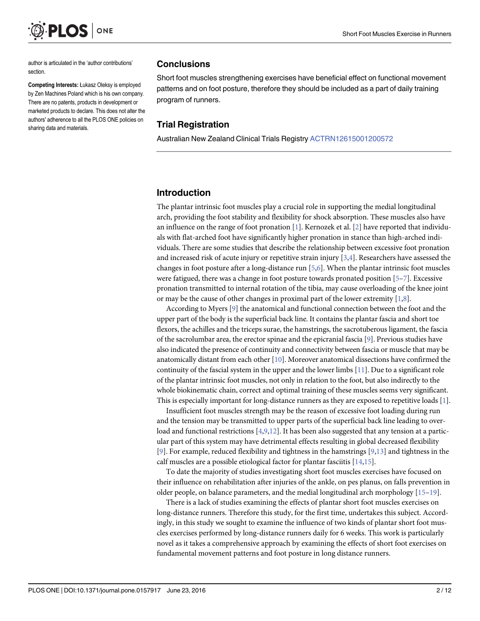<span id="page-1-0"></span>

author is articulated in the 'author contributions' section.

Competing Interests: Łukasz Oleksy is employed by Zen Machines Poland which is his own company. There are no patents, products in development or marketed products to declare. This does not alter the authors' adherence to all the PLOS ONE policies on sharing data and materials.

#### **Conclusions**

Short foot muscles strengthening exercises have beneficial effect on functional movement patterns and on foot posture, therefore they should be included as a part of daily training program of runners.

#### Trial Registration

Australian New Zealand Clinical Trials Registry [ACTRN12615001200572](http://www.anzctr.org.au/TrialSearch.aspx?searchTxt=ACTRN12615001200572&isBasic=True)

#### Introduction

The plantar intrinsic foot muscles play a crucial role in supporting the medial longitudinal arch, providing the foot stability and flexibility for shock absorption. These muscles also have an influence on the range of foot pronation [\[1\]](#page-10-0). Kernozek et al. [\[2](#page-10-0)] have reported that individuals with flat-arched foot have significantly higher pronation in stance than high-arched individuals. There are some studies that describe the relationship between excessive foot pronation and increased risk of acute injury or repetitive strain injury [\[3,4\]](#page-10-0). Researchers have assessed the changes in foot posture after a long-distance run  $[5,6]$ . When the plantar intrinsic foot muscles were fatigued, there was a change in foot posture towards pronated position  $[5-7]$  $[5-7]$  $[5-7]$  $[5-7]$  $[5-7]$ . Excessive pronation transmitted to internal rotation of the tibia, may cause overloading of the knee joint or may be the cause of other changes in proximal part of the lower extremity  $[1,8]$  $[1,8]$ .

According to Myers  $[9]$  $[9]$  the anatomical and functional connection between the foot and the upper part of the body is the superficial back line. It contains the plantar fascia and short toe flexors, the achilles and the triceps surae, the hamstrings, the sacrotuberous ligament, the fascia of the sacrolumbar area, the erector spinae and the epicranial fascia [\[9\]](#page-10-0). Previous studies have also indicated the presence of continuity and connectivity between fascia or muscle that may be anatomically distant from each other [\[10\]](#page-10-0). Moreover anatomical dissections have confirmed the continuity of the fascial system in the upper and the lower limbs  $[11]$  $[11]$ . Due to a significant role of the plantar intrinsic foot muscles, not only in relation to the foot, but also indirectly to the whole biokinematic chain, correct and optimal training of these muscles seems very significant. This is especially important for long-distance runners as they are exposed to repetitive loads  $[1]$  $[1]$ .

Insufficient foot muscles strength may be the reason of excessive foot loading during run and the tension may be transmitted to upper parts of the superficial back line leading to over-load and functional restrictions [[4](#page-10-0),[9](#page-10-0),[12](#page-10-0)]. It has been also suggested that any tension at a particular part of this system may have detrimental effects resulting in global decreased flexibility [\[9](#page-10-0)]. For example, reduced flexibility and tightness in the hamstrings [\[9,13\]](#page-10-0) and tightness in the calf muscles are a possible etiological factor for plantar fasciitis  $[14,15]$  $[14,15]$  $[14,15]$  $[14,15]$  $[14,15]$ .

To date the majority of studies investigating short foot muscles exercises have focused on their influence on rehabilitation after injuries of the ankle, on pes planus, on falls prevention in older people, on balance parameters, and the medial longitudinal arch morphology  $[15-19]$  $[15-19]$  $[15-19]$ .

There is a lack of studies examining the effects of plantar short foot muscles exercises on long-distance runners. Therefore this study, for the first time, undertakes this subject. Accordingly, in this study we sought to examine the influence of two kinds of plantar short foot muscles exercises performed by long-distance runners daily for 6 weeks. This work is particularly novel as it takes a comprehensive approach by examining the effects of short foot exercises on fundamental movement patterns and foot posture in long distance runners.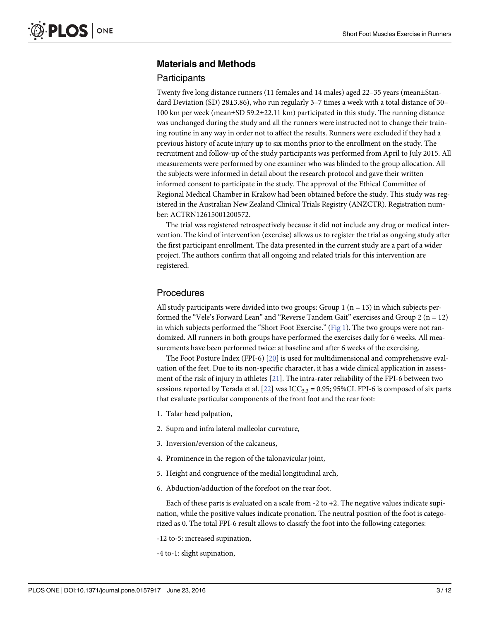#### <span id="page-2-0"></span>Materials and Methods

#### **Participants**

Twenty five long distance runners (11 females and 14 males) aged 22–35 years (mean±Standard Deviation (SD) 28±3.86), who run regularly 3–7 times a week with a total distance of 30– 100 km per week (mean±SD 59.2±22.11 km) participated in this study. The running distance was unchanged during the study and all the runners were instructed not to change their training routine in any way in order not to affect the results. Runners were excluded if they had a previous history of acute injury up to six months prior to the enrollment on the study. The recruitment and follow-up of the study participants was performed from April to July 2015. All measurements were performed by one examiner who was blinded to the group allocation. All the subjects were informed in detail about the research protocol and gave their written informed consent to participate in the study. The approval of the Ethical Committee of Regional Medical Chamber in Krakow had been obtained before the study. This study was registered in the Australian New Zealand Clinical Trials Registry (ANZCTR). Registration number: ACTRN12615001200572.

The trial was registered retrospectively because it did not include any drug or medical intervention. The kind of intervention (exercise) allows us to register the trial as ongoing study after the first participant enrollment. The data presented in the current study are a part of a wider project. The authors confirm that all ongoing and related trials for this intervention are registered.

#### Procedures

All study participants were divided into two groups: Group 1 ( $n = 13$ ) in which subjects performed the "Vele's Forward Lean" and "Reverse Tandem Gait" exercises and Group 2 (n = 12) in which subjects performed the "Short Foot Exercise." ( $Fig 1$ ). The two groups were not randomized. All runners in both groups have performed the exercises daily for 6 weeks. All measurements have been performed twice: at baseline and after 6 weeks of the exercising.

The Foot Posture Index (FPI-6) [[20\]](#page-10-0) is used for multidimensional and comprehensive evaluation of the feet. Due to its non-specific character, it has a wide clinical application in assessment of the risk of injury in athletes  $[21]$ . The intra-rater reliability of the FPI-6 between two sessions reported by Terada et al.  $[22]$  was  $ICC_{3,3} = 0.95$ ; 95%CI. FPI-6 is composed of six parts that evaluate particular components of the front foot and the rear foot:

- 1. Talar head palpation,
- 2. Supra and infra lateral malleolar curvature,
- 3. Inversion/eversion of the calcaneus,
- 4. Prominence in the region of the talonavicular joint,
- 5. Height and congruence of the medial longitudinal arch,
- 6. Abduction/adduction of the forefoot on the rear foot.

Each of these parts is evaluated on a scale from  $-2$  to  $+2$ . The negative values indicate supination, while the positive values indicate pronation. The neutral position of the foot is categorized as 0. The total FPI-6 result allows to classify the foot into the following categories:

- -12 to-5: increased supination,
- -4 to-1: slight supination,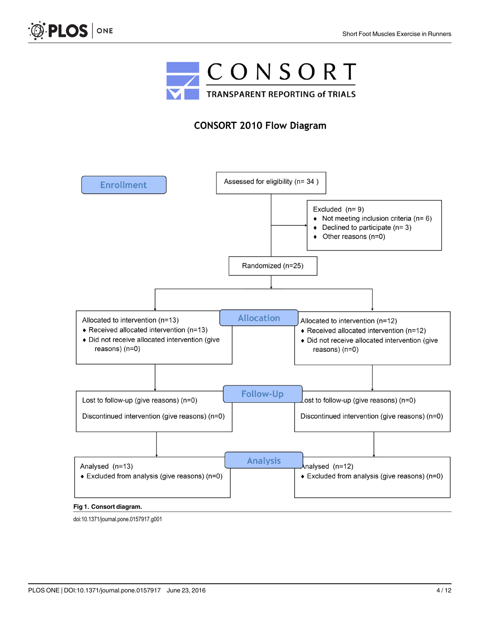<span id="page-3-0"></span>



# **CONSORT 2010 Flow Diagram**



doi:10.1371/journal.pone.0157917.g001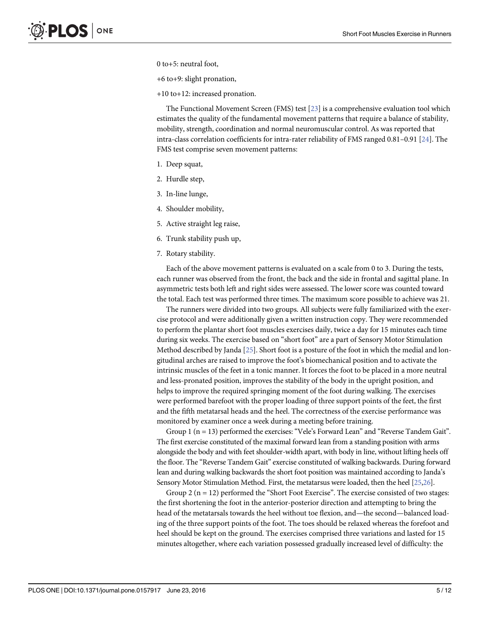<span id="page-4-0"></span>0 to+5: neutral foot,

+6 to+9: slight pronation,

+10 to+12: increased pronation.

The Functional Movement Screen (FMS) test [\[23\]](#page-11-0) is a comprehensive evaluation tool which estimates the quality of the fundamental movement patterns that require a balance of stability, mobility, strength, coordination and normal neuromuscular control. As was reported that intra-class correlation coefficients for intra-rater reliability of FMS ranged 0.81–0.91 [[24\]](#page-11-0). The FMS test comprise seven movement patterns:

- 1. Deep squat,
- 2. Hurdle step,
- 3. In-line lunge,
- 4. Shoulder mobility,
- 5. Active straight leg raise,
- 6. Trunk stability push up,
- 7. Rotary stability.

Each of the above movement patterns is evaluated on a scale from 0 to 3. During the tests, each runner was observed from the front, the back and the side in frontal and sagittal plane. In asymmetric tests both left and right sides were assessed. The lower score was counted toward the total. Each test was performed three times. The maximum score possible to achieve was 21.

The runners were divided into two groups. All subjects were fully familiarized with the exercise protocol and were additionally given a written instruction copy. They were recommended to perform the plantar short foot muscles exercises daily, twice a day for 15 minutes each time during six weeks. The exercise based on "short foot" are a part of Sensory Motor Stimulation Method described by Janda  $[25]$  $[25]$  $[25]$ . Short foot is a posture of the foot in which the medial and longitudinal arches are raised to improve the foot's biomechanical position and to activate the intrinsic muscles of the feet in a tonic manner. It forces the foot to be placed in a more neutral and less-pronated position, improves the stability of the body in the upright position, and helps to improve the required springing moment of the foot during walking. The exercises were performed barefoot with the proper loading of three support points of the feet, the first and the fifth metatarsal heads and the heel. The correctness of the exercise performance was monitored by examiner once a week during a meeting before training.

Group 1 (n = 13) performed the exercises: "Vele's Forward Lean" and "Reverse Tandem Gait". The first exercise constituted of the maximal forward lean from a standing position with arms alongside the body and with feet shoulder-width apart, with body in line, without lifting heels off the floor. The "Reverse Tandem Gait" exercise constituted of walking backwards. During forward lean and during walking backwards the short foot position was maintained according to Janda's Sensory Motor Stimulation Method. First, the metatarsus were loaded, then the heel [\[25,26](#page-11-0)].

Group 2 ( $n = 12$ ) performed the "Short Foot Exercise". The exercise consisted of two stages: the first shortening the foot in the anterior-posterior direction and attempting to bring the head of the metatarsals towards the heel without toe flexion, and—the second—balanced loading of the three support points of the foot. The toes should be relaxed whereas the forefoot and heel should be kept on the ground. The exercises comprised three variations and lasted for 15 minutes altogether, where each variation possessed gradually increased level of difficulty: the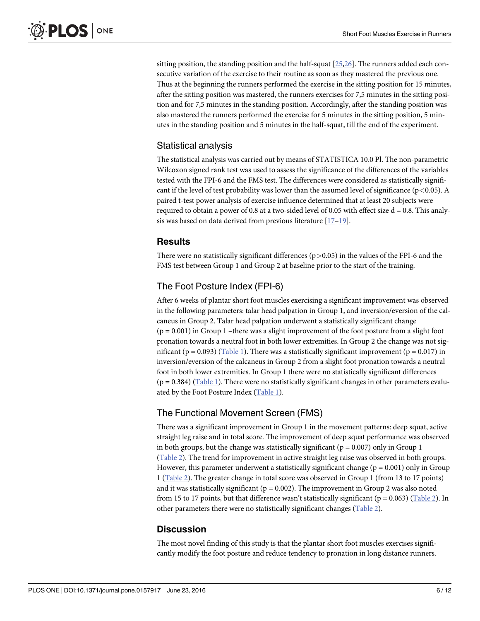<span id="page-5-0"></span>sitting position, the standing position and the half-squat  $[25,26]$  $[25,26]$ . The runners added each consecutive variation of the exercise to their routine as soon as they mastered the previous one. Thus at the beginning the runners performed the exercise in the sitting position for 15 minutes, after the sitting position was mastered, the runners exercises for 7,5 minutes in the sitting position and for 7,5 minutes in the standing position. Accordingly, after the standing position was also mastered the runners performed the exercise for 5 minutes in the sitting position, 5 minutes in the standing position and 5 minutes in the half-squat, till the end of the experiment.

## Statistical analysis

The statistical analysis was carried out by means of STATISTICA 10.0 Pl. The non-parametric Wilcoxon signed rank test was used to assess the significance of the differences of the variables tested with the FPI-6 and the FMS test. The differences were considered as statistically significant if the level of test probability was lower than the assumed level of significance ( $p<0.05$ ). A paired t-test power analysis of exercise influence determined that at least 20 subjects were required to obtain a power of 0.8 at a two-sided level of 0.05 with effect size  $d = 0.8$ . This analysis was based on data derived from previous literature [[17](#page-10-0)–[19\]](#page-10-0).

#### **Results**

There were no statistically significant differences  $(p>0.05)$  in the values of the FPI-6 and the FMS test between Group 1 and Group 2 at baseline prior to the start of the training.

# The Foot Posture Index (FPI-6)

After 6 weeks of plantar short foot muscles exercising a significant improvement was observed in the following parameters: talar head palpation in Group 1, and inversion/eversion of the calcaneus in Group 2. Talar head palpation underwent a statistically significant change  $(p = 0.001)$  in Group 1 –there was a slight improvement of the foot posture from a slight foot pronation towards a neutral foot in both lower extremities. In Group 2 the change was not sig-nificant (p = 0.093) ([Table 1](#page-6-0)). There was a statistically significant improvement (p = 0.017) in inversion/eversion of the calcaneus in Group 2 from a slight foot pronation towards a neutral foot in both lower extremities. In Group 1 there were no statistically significant differences  $(p = 0.384)$  [\(Table 1](#page-6-0)). There were no statistically significant changes in other parameters evaluated by the Foot Posture Index ([Table 1](#page-6-0)).

## The Functional Movement Screen (FMS)

There was a significant improvement in Group 1 in the movement patterns: deep squat, active straight leg raise and in total score. The improvement of deep squat performance was observed in both groups, but the change was statistically significant ( $p = 0.007$ ) only in Group 1 [\(Table 2\)](#page-7-0). The trend for improvement in active straight leg raise was observed in both groups. However, this parameter underwent a statistically significant change ( $p = 0.001$ ) only in Group 1 [\(Table 2\)](#page-7-0). The greater change in total score was observed in Group 1 (from 13 to 17 points) and it was statistically significant ( $p = 0.002$ ). The improvement in Group 2 was also noted from 15 to 17 points, but that difference wasn't statistically significant ( $p = 0.063$ ) ([Table 2\)](#page-7-0). In other parameters there were no statistically significant changes [\(Table 2\)](#page-7-0).

## **Discussion**

The most novel finding of this study is that the plantar short foot muscles exercises significantly modify the foot posture and reduce tendency to pronation in long distance runners.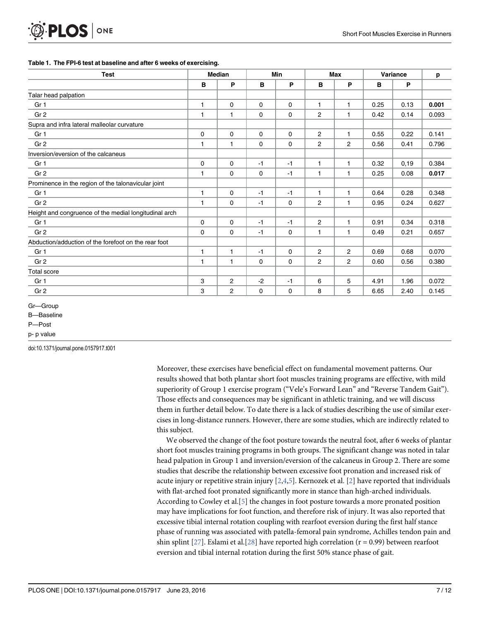# <span id="page-6-0"></span>PLOS ONE

| Table 1. The FPI-6 test at baseline and after 6 weeks of exercising. |  |
|----------------------------------------------------------------------|--|
|----------------------------------------------------------------------|--|

| <b>Test</b>                                           | <b>Median</b>  |             | Min      |             | <b>Max</b>     |                | Variance |      | p     |
|-------------------------------------------------------|----------------|-------------|----------|-------------|----------------|----------------|----------|------|-------|
|                                                       | в              | P           | в        | P           | B              | P              | B        | P    |       |
| Talar head palpation                                  |                |             |          |             |                |                |          |      |       |
| Gr <sub>1</sub>                                       | $\mathbf{1}$   | $\mathbf 0$ | $\Omega$ | 0           | 1              | 1              | 0.25     | 0.13 | 0.001 |
| Gr <sub>2</sub>                                       | $\overline{1}$ | 1           | 0        | $\mathbf 0$ | $\overline{2}$ | 1              | 0.42     | 0.14 | 0.093 |
| Supra and infra lateral malleolar curvature           |                |             |          |             |                |                |          |      |       |
| Gr <sub>1</sub>                                       | $\Omega$       | $\mathbf 0$ | $\Omega$ | $\mathbf 0$ | 2              | 1              | 0.55     | 0.22 | 0.141 |
| Gr <sub>2</sub>                                       | 1              | 1           | 0        | $\mathbf 0$ | $\overline{2}$ | $\overline{2}$ | 0.56     | 0.41 | 0.796 |
| Inversion/eversion of the calcaneus                   |                |             |          |             |                |                |          |      |       |
| Gr <sub>1</sub>                                       | $\mathbf 0$    | $\mathbf 0$ | $-1$     | $-1$        | 1              | 1              | 0.32     | 0,19 | 0.384 |
| Gr <sub>2</sub>                                       | $\mathbf{1}$   | 0           | 0        | -1          | 1              | 1              | 0.25     | 0.08 | 0.017 |
| Prominence in the region of the talonavicular joint   |                |             |          |             |                |                |          |      |       |
| Gr <sub>1</sub>                                       | $\mathbf{1}$   | $\mathbf 0$ | $-1$     | $-1$        | 1              | 1              | 0.64     | 0.28 | 0.348 |
| Gr <sub>2</sub>                                       | $\mathbf{1}$   | 0           | $-1$     | 0           | 2              | 1              | 0.95     | 0.24 | 0.627 |
| Height and congruence of the medial longitudinal arch |                |             |          |             |                |                |          |      |       |
| Gr <sub>1</sub>                                       | $\mathbf 0$    | $\mathbf 0$ | $-1$     | $-1$        | 2              | $\mathbf{1}$   | 0.91     | 0.34 | 0.318 |
| Gr <sub>2</sub>                                       | $\Omega$       | $\Omega$    | $-1$     | 0           | 1              | 1              | 0.49     | 0.21 | 0.657 |
| Abduction/adduction of the forefoot on the rear foot  |                |             |          |             |                |                |          |      |       |
| Gr <sub>1</sub>                                       | $\mathbf{1}$   | 1           | $-1$     | $\mathbf 0$ | $\overline{2}$ | $\overline{2}$ | 0.69     | 0.68 | 0.070 |
| Gr <sub>2</sub>                                       | $\mathbf{1}$   | 1           | 0        | 0           | 2              | $\overline{2}$ | 0.60     | 0.56 | 0.380 |
| <b>Total score</b>                                    |                |             |          |             |                |                |          |      |       |
| Gr <sub>1</sub>                                       | 3              | 2           | $-2$     | $-1$        | 6              | 5              | 4.91     | 1.96 | 0.072 |
| Gr <sub>2</sub>                                       | 3              | 2           | 0        | 0           | 8              | 5              | 6.65     | 2.40 | 0.145 |

Gr—Group

B—Baseline

P—Post

p- p value

doi:10.1371/journal.pone.0157917.t001

Moreover, these exercises have beneficial effect on fundamental movement patterns. Our results showed that both plantar short foot muscles training programs are effective, with mild superiority of Group 1 exercise program ("Vele's Forward Lean" and "Reverse Tandem Gait"). Those effects and consequences may be significant in athletic training, and we will discuss them in further detail below. To date there is a lack of studies describing the use of similar exercises in long-distance runners. However, there are some studies, which are indirectly related to this subject.

We observed the change of the foot posture towards the neutral foot, after 6 weeks of plantar short foot muscles training programs in both groups. The significant change was noted in talar head palpation in Group 1 and inversion/eversion of the calcaneus in Group 2. There are some studies that describe the relationship between excessive foot pronation and increased risk of acute injury or repetitive strain injury  $[2,4,5]$ . Kernozek et al.  $[2]$  $[2]$  have reported that individuals with flat-arched foot pronated significantly more in stance than high-arched individuals. According to Cowley et al.[[5\]](#page-10-0) the changes in foot posture towards a more pronated position may have implications for foot function, and therefore risk of injury. It was also reported that excessive tibial internal rotation coupling with rearfoot eversion during the first half stance phase of running was associated with patella-femoral pain syndrome, Achilles tendon pain and shin splint  $[27]$ . Eslami et al. [[28](#page-11-0)] have reported high correlation ( $r = 0.99$ ) between rearfoot eversion and tibial internal rotation during the first 50% stance phase of gait.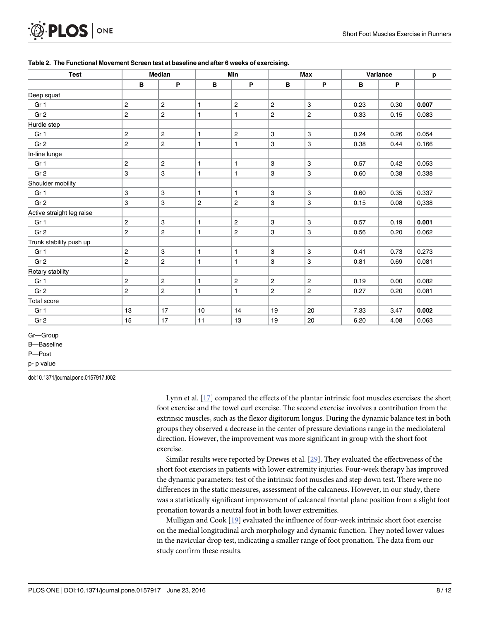| <b>Test</b>               |                | <b>Median</b>         |              | <b>Min</b>     |                | <b>Max</b>     | Variance | p    |       |
|---------------------------|----------------|-----------------------|--------------|----------------|----------------|----------------|----------|------|-------|
|                           | B              | P                     | B            | P              | B              | P              | B        | P    |       |
| Deep squat                |                |                       |              |                |                |                |          |      |       |
| Gr <sub>1</sub>           | $\overline{c}$ | $\overline{c}$        | 1            | $\mathbf{2}$   | $\overline{c}$ | 3              | 0.23     | 0.30 | 0.007 |
| Gr <sub>2</sub>           | $\overline{c}$ | $\overline{c}$        | 1            | 1              | $\overline{c}$ | $\overline{c}$ | 0.33     | 0.15 | 0.083 |
| Hurdle step               |                |                       |              |                |                |                |          |      |       |
| Gr <sub>1</sub>           | $\overline{c}$ | $\mathbf{2}^{\prime}$ | $\mathbf{1}$ | $\mathbf{2}$   | 3              | 3              | 0.24     | 0.26 | 0.054 |
| Gr <sub>2</sub>           | $\overline{c}$ | $\overline{c}$        | $\mathbf{1}$ | $\mathbf{1}$   | 3              | 3              | 0.38     | 0.44 | 0.166 |
| In-line lunge             |                |                       |              |                |                |                |          |      |       |
| Gr <sub>1</sub>           | $\overline{c}$ | $\overline{c}$        | $\mathbf{1}$ | $\overline{1}$ | 3              | 3              | 0.57     | 0.42 | 0.053 |
| Gr <sub>2</sub>           | 3              | 3                     | $\mathbf{1}$ | $\mathbf{1}$   | 3              | 3              | 0.60     | 0.38 | 0.338 |
| Shoulder mobility         |                |                       |              |                |                |                |          |      |       |
| Gr <sub>1</sub>           | 3              | 3                     | $\mathbf{1}$ | $\overline{1}$ | 3              | 3              | 0.60     | 0.35 | 0.337 |
| Gr <sub>2</sub>           | 3              | 3                     | $\sqrt{2}$   | $\overline{c}$ | 3              | 3              | 0.15     | 0.08 | 0,338 |
| Active straight leg raise |                |                       |              |                |                |                |          |      |       |
| Gr <sub>1</sub>           | $\overline{c}$ | 3                     | $\mathbf{1}$ | $\overline{c}$ | 3              | 3              | 0.57     | 0.19 | 0.001 |
| Gr <sub>2</sub>           | $\overline{2}$ | $\overline{c}$        | $\mathbf{1}$ | $\overline{c}$ | 3              | 3              | 0.56     | 0.20 | 0.062 |
| Trunk stability push up   |                |                       |              |                |                |                |          |      |       |
| Gr <sub>1</sub>           | $\overline{c}$ | 3                     | $\mathbf{1}$ | 1              | 3              | 3              | 0.41     | 0.73 | 0.273 |
| Gr <sub>2</sub>           | $\overline{2}$ | $\overline{2}$        | 1            | $\mathbf{1}$   | 3              | 3              | 0.81     | 0.69 | 0.081 |
| Rotary stability          |                |                       |              |                |                |                |          |      |       |
| Gr <sub>1</sub>           | $\overline{c}$ | $\overline{2}$        | $\mathbf{1}$ | $\overline{c}$ | $\overline{c}$ | $\overline{c}$ | 0.19     | 0.00 | 0.082 |
| Gr <sub>2</sub>           | $\overline{c}$ | $\overline{c}$        | $\mathbf{1}$ | $\mathbf{1}$   | $\overline{c}$ | 2              | 0.27     | 0.20 | 0.081 |
| Total score               |                |                       |              |                |                |                |          |      |       |
| Gr <sub>1</sub>           | 13             | 17                    | 10           | 14             | 19             | 20             | 7.33     | 3.47 | 0.002 |
| Gr <sub>2</sub>           | 15             | 17                    | 11           | 13             | 19             | 20             | 6.20     | 4.08 | 0.063 |

#### [Table 2.](#page-5-0) The Functional Movement Screen test at baseline and after 6 weeks of exercising.

Gr—Group

B—Baseline

P—Post

p- p value

doi:10.1371/journal.pone.0157917.t002

<span id="page-7-0"></span>PLOS ONE

Lynn et al. [\[17\]](#page-10-0) compared the effects of the plantar intrinsic foot muscles exercises: the short foot exercise and the towel curl exercise. The second exercise involves a contribution from the extrinsic muscles, such as the flexor digitorum longus. During the dynamic balance test in both groups they observed a decrease in the center of pressure deviations range in the mediolateral direction. However, the improvement was more significant in group with the short foot exercise.

Similar results were reported by Drewes et al. [[29](#page-11-0)]. They evaluated the effectiveness of the short foot exercises in patients with lower extremity injuries. Four-week therapy has improved the dynamic parameters: test of the intrinsic foot muscles and step down test. There were no differences in the static measures, assessment of the calcaneus. However, in our study, there was a statistically significant improvement of calcaneal frontal plane position from a slight foot pronation towards a neutral foot in both lower extremities.

Mulligan and Cook [[19](#page-10-0)] evaluated the influence of four-week intrinsic short foot exercise on the medial longitudinal arch morphology and dynamic function. They noted lower values in the navicular drop test, indicating a smaller range of foot pronation. The data from our study confirm these results.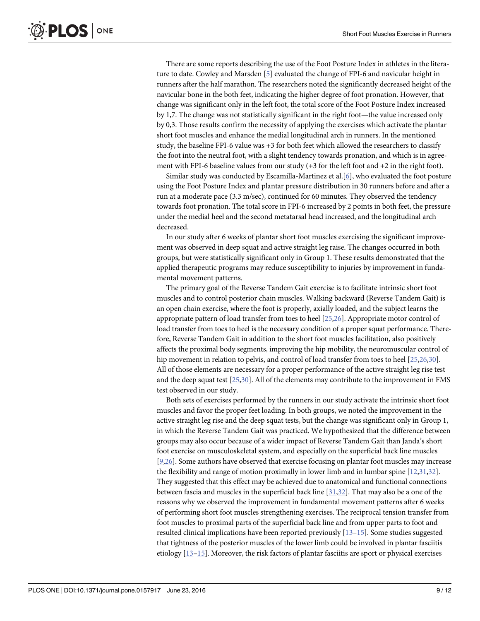<span id="page-8-0"></span>There are some reports describing the use of the Foot Posture Index in athletes in the literature to date. Cowley and Marsden [[5](#page-10-0)] evaluated the change of FPI-6 and navicular height in runners after the half marathon. The researchers noted the significantly decreased height of the navicular bone in the both feet, indicating the higher degree of foot pronation. However, that change was significant only in the left foot, the total score of the Foot Posture Index increased by 1,7. The change was not statistically significant in the right foot—the value increased only by 0,3. Those results confirm the necessity of applying the exercises which activate the plantar short foot muscles and enhance the medial longitudinal arch in runners. In the mentioned study, the baseline FPI-6 value was +3 for both feet which allowed the researchers to classify the foot into the neutral foot, with a slight tendency towards pronation, and which is in agreement with FPI-6 baseline values from our study  $(+3$  for the left foot and  $+2$  in the right foot).

Similar study was conducted by Escamilla-Martinez et al.[\[6\]](#page-10-0), who evaluated the foot posture using the Foot Posture Index and plantar pressure distribution in 30 runners before and after a run at a moderate pace (3.3 m/sec), continued for 60 minutes. They observed the tendency towards foot pronation. The total score in FPI-6 increased by 2 points in both feet, the pressure under the medial heel and the second metatarsal head increased, and the longitudinal arch decreased.

In our study after 6 weeks of plantar short foot muscles exercising the significant improvement was observed in deep squat and active straight leg raise. The changes occurred in both groups, but were statistically significant only in Group 1. These results demonstrated that the applied therapeutic programs may reduce susceptibility to injuries by improvement in fundamental movement patterns.

The primary goal of the Reverse Tandem Gait exercise is to facilitate intrinsic short foot muscles and to control posterior chain muscles. Walking backward (Reverse Tandem Gait) is an open chain exercise, where the foot is properly, axially loaded, and the subject learns the appropriate pattern of load transfer from toes to heel [\[25,26\]](#page-11-0). Appropriate motor control of load transfer from toes to heel is the necessary condition of a proper squat performance. Therefore, Reverse Tandem Gait in addition to the short foot muscles facilitation, also positively affects the proximal body segments, improving the hip mobility, the neuromuscular control of hip movement in relation to pelvis, and control of load transfer from toes to heel [\[25,26,30\]](#page-11-0). All of those elements are necessary for a proper performance of the active straight leg rise test and the deep squat test [[25,30](#page-11-0)]. All of the elements may contribute to the improvement in FMS test observed in our study.

Both sets of exercises performed by the runners in our study activate the intrinsic short foot muscles and favor the proper feet loading. In both groups, we noted the improvement in the active straight leg rise and the deep squat tests, but the change was significant only in Group 1, in which the Reverse Tandem Gait was practiced. We hypothesized that the difference between groups may also occur because of a wider impact of Reverse Tandem Gait than Janda's short foot exercise on musculoskeletal system, and especially on the superficial back line muscles [\[9](#page-10-0)[,26](#page-11-0)]. Some authors have observed that exercise focusing on plantar foot muscles may increase the flexibility and range of motion proximally in lower limb and in lumbar spine [[12,](#page-10-0)[31](#page-11-0),[32](#page-11-0)]. They suggested that this effect may be achieved due to anatomical and functional connections between fascia and muscles in the superficial back line  $[31,32]$ . That may also be a one of the reasons why we observed the improvement in fundamental movement patterns after 6 weeks of performing short foot muscles strengthening exercises. The reciprocal tension transfer from foot muscles to proximal parts of the superficial back line and from upper parts to foot and resulted clinical implications have been reported previously [[13](#page-10-0)–[15\]](#page-10-0). Some studies suggested that tightness of the posterior muscles of the lower limb could be involved in plantar fasciitis etiology  $[13-15]$  $[13-15]$  $[13-15]$  $[13-15]$ . Moreover, the risk factors of plantar fasciitis are sport or physical exercises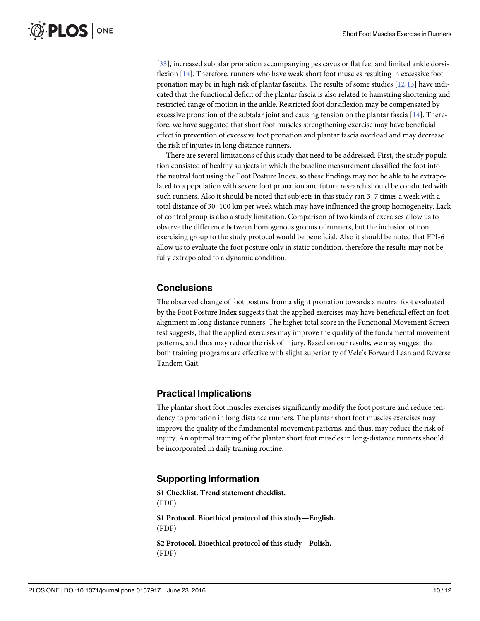[\[33](#page-11-0)], increased subtalar pronation accompanying pes cavus or flat feet and limited ankle dorsiflexion [[14\]](#page-10-0). Therefore, runners who have weak short foot muscles resulting in excessive foot pronation may be in high risk of plantar fasciitis. The results of some studies  $[12,13]$  $[12,13]$  have indicated that the functional deficit of the plantar fascia is also related to hamstring shortening and restricted range of motion in the ankle. Restricted foot dorsiflexion may be compensated by excessive pronation of the subtalar joint and causing tension on the plantar fascia  $[14]$ . Therefore, we have suggested that short foot muscles strengthening exercise may have beneficial effect in prevention of excessive foot pronation and plantar fascia overload and may decrease the risk of injuries in long distance runners.

There are several limitations of this study that need to be addressed. First, the study population consisted of healthy subjects in which the baseline measurement classified the foot into the neutral foot using the Foot Posture Index, so these findings may not be able to be extrapolated to a population with severe foot pronation and future research should be conducted with such runners. Also it should be noted that subjects in this study ran 3–7 times a week with a total distance of 30–100 km per week which may have influenced the group homogeneity. Lack of control group is also a study limitation. Comparison of two kinds of exercises allow us to observe the difference between homogenous gropus of runners, but the inclusion of non exercising group to the study protocol would be beneficial. Also it should be noted that FPI-6 allow us to evaluate the foot posture only in static condition, therefore the results may not be fully extrapolated to a dynamic condition.

## **Conclusions**

The observed change of foot posture from a slight pronation towards a neutral foot evaluated by the Foot Posture Index suggests that the applied exercises may have beneficial effect on foot alignment in long distance runners. The higher total score in the Functional Movement Screen test suggests, that the applied exercises may improve the quality of the fundamental movement patterns, and thus may reduce the risk of injury. Based on our results, we may suggest that both training programs are effective with slight superiority of Vele's Forward Lean and Reverse Tandem Gait.

## Practical Implications

The plantar short foot muscles exercises significantly modify the foot posture and reduce tendency to pronation in long distance runners. The plantar short foot muscles exercises may improve the quality of the fundamental movement patterns, and thus, may reduce the risk of injury. An optimal training of the plantar short foot muscles in long-distance runners should be incorporated in daily training routine.

## Supporting Information

[S1 Checklist.](http://www.plosone.org/article/fetchSingleRepresentation.action?uri=info:doi/10.1371/journal.pone.0157917.s001) Trend statement checklist. (PDF) [S1 Protocol.](http://www.plosone.org/article/fetchSingleRepresentation.action?uri=info:doi/10.1371/journal.pone.0157917.s002) Bioethical protocol of this study—English. (PDF) [S2 Protocol.](http://www.plosone.org/article/fetchSingleRepresentation.action?uri=info:doi/10.1371/journal.pone.0157917.s003) Bioethical protocol of this study—Polish. (PDF)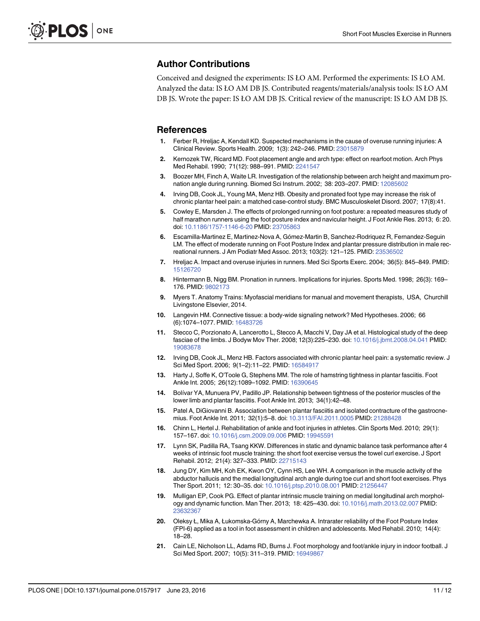#### <span id="page-10-0"></span>Author Contributions

Conceived and designed the experiments: IS ŁO AM. Performed the experiments: IS ŁO AM. Analyzed the data: IS ŁO AM DB JS. Contributed reagents/materials/analysis tools: IS ŁO AM DB JS. Wrote the paper: IS ŁO AM DB JS. Critical review of the manuscript: IS ŁO AM DB JS.

#### **References**

- [1.](#page-1-0) Ferber R, Hreljac A, Kendall KD. Suspected mechanisms in the cause of overuse running injuries: A Clinical Review. Sports Health. 2009; 1(3): 242–246. PMID: [23015879](http://www.ncbi.nlm.nih.gov/pubmed/23015879)
- [2.](#page-1-0) Kernozek TW, Ricard MD. Foot placement angle and arch type: effect on rearfoot motion. Arch Phys Med Rehabil. 1990; 71(12): 988–991. PMID: [2241547](http://www.ncbi.nlm.nih.gov/pubmed/2241547)
- [3.](#page-1-0) Boozer MH, Finch A, Waite LR. Investigation of the relationship between arch height and maximum pronation angle during running. Biomed Sci Instrum. 2002; 38: 203–207. PMID: [12085602](http://www.ncbi.nlm.nih.gov/pubmed/12085602)
- [4.](#page-1-0) Irving DB, Cook JL, Young MA, Menz HB. Obesity and pronated foot type may increase the risk of chronic plantar heel pain: a matched case-control study. BMC Musculoskelet Disord. 2007; 17(8):41.
- [5.](#page-1-0) Cowley E, Marsden J. The effects of prolonged running on foot posture: a repeated measures study of half marathon runners using the foot posture index and navicular height. J Foot Ankle Res. 2013; 6: 20. doi: [10.1186/1757-1146-6-20](http://dx.doi.org/10.1186/1757-1146-6-20) PMID: [23705863](http://www.ncbi.nlm.nih.gov/pubmed/23705863)
- [6.](#page-1-0) Escamilla-Martinez E, Martinez-Nova A, Gómez-Martin B, Sanchez-Rodriquez R, Fernandez-Seguin LM. The effect of moderate running on Foot Posture Index and plantar pressure distribution in male recreational runners. J Am Podiatr Med Assoc. 2013; 103(2): 121–125. PMID: [23536502](http://www.ncbi.nlm.nih.gov/pubmed/23536502)
- [7.](#page-1-0) Hreljac A. Impact and overuse injuries in runners. Med Sci Sports Exerc. 2004; 36(5): 845–849. PMID: [15126720](http://www.ncbi.nlm.nih.gov/pubmed/15126720)
- [8.](#page-1-0) Hintermann B, Nigg BM. Pronation in runners. Implications for injuries. Sports Med. 1998; 26(3): 169– 176. PMID: [9802173](http://www.ncbi.nlm.nih.gov/pubmed/9802173)
- [9.](#page-1-0) Myers T. Anatomy Trains: Myofascial meridians for manual and movement therapists, USA, Churchill Livingstone Elsevier, 2014.
- [10.](#page-1-0) Langevin HM. Connective tissue: a body-wide signaling network? Med Hypotheses. 2006; 66 (6):1074–1077. PMID: [16483726](http://www.ncbi.nlm.nih.gov/pubmed/16483726)
- [11.](#page-1-0) Stecco C, Porzionato A, Lancerotto L, Stecco A, Macchi V, Day JA et al. Histological study of the deep fasciae of the limbs. J Bodyw Mov Ther. 2008; 12(3):225–230. doi: [10.1016/j.jbmt.2008.04.041](http://dx.doi.org/10.1016/j.jbmt.2008.04.041) PMID: [19083678](http://www.ncbi.nlm.nih.gov/pubmed/19083678)
- [12.](#page-1-0) Irving DB, Cook JL, Menz HB. Factors associated with chronic plantar heel pain: a systematic review. J Sci Med Sport. 2006; 9(1-2):11-22. PMID: [16584917](http://www.ncbi.nlm.nih.gov/pubmed/16584917)
- [13.](#page-1-0) Harty J, Soffe K, O'Toole G, Stephens MM. The role of hamstring tightness in plantar fasciitis. Foot Ankle Int. 2005; 26(12):1089–1092. PMID: [16390645](http://www.ncbi.nlm.nih.gov/pubmed/16390645)
- [14.](#page-1-0) Bolívar YA, Munuera PV, Padillo JP. Relationship between tightness of the posterior muscles of the lower limb and plantar fasciitis. Foot Ankle Int. 2013; 34(1):42–48.
- [15.](#page-1-0) Patel A, DiGiovanni B. Association between plantar fasciitis and isolated contracture of the gastrocnemius. Foot Ankle Int. 2011; 32(1):5–8. doi: [10.3113/FAI.2011.0005](http://dx.doi.org/10.3113/FAI.2011.0005) PMID: [21288428](http://www.ncbi.nlm.nih.gov/pubmed/21288428)
- 16. Chinn L, Hertel J. Rehabilitation of ankle and foot injuries in athletes. Clin Sports Med. 2010; 29(1): 157–167. doi: [10.1016/j.csm.2009.09.006](http://dx.doi.org/10.1016/j.csm.2009.09.006) PMID: [19945591](http://www.ncbi.nlm.nih.gov/pubmed/19945591)
- [17.](#page-5-0) Lynn SK, Padilla RA, Tsang KKW. Differences in static and dynamic balance task performance after 4 weeks of intrinsic foot muscle training: the short foot exercise versus the towel curl exercise. J Sport Rehabil. 2012; 21(4): 327–333. PMID: [22715143](http://www.ncbi.nlm.nih.gov/pubmed/22715143)
- 18. Jung DY, Kim MH, Koh EK, Kwon OY, Cynn HS, Lee WH. A comparison in the muscle activity of the abductor hallucis and the medial longitudinal arch angle during toe curl and short foot exercises. Phys Ther Sport. 2011; 12: 30–35. doi: [10.1016/j.ptsp.2010.08.001](http://dx.doi.org/10.1016/j.ptsp.2010.08.001) PMID: [21256447](http://www.ncbi.nlm.nih.gov/pubmed/21256447)
- [19.](#page-1-0) Mulligan EP, Cook PG. Effect of plantar intrinsic muscle training on medial longitudinal arch morphology and dynamic function. Man Ther. 2013; 18: 425–430. doi: [10.1016/j.math.2013.02.007](http://dx.doi.org/10.1016/j.math.2013.02.007) PMID: [23632367](http://www.ncbi.nlm.nih.gov/pubmed/23632367)
- [20.](#page-2-0) Oleksy Ł, Mika A, Łukomska-Górny A, Marchewka A. Intrarater reliability of the Foot Posture Index (FPI-6) applied as a tool in foot assessment in children and adolescents. Med Rehabil. 2010; 14(4): 18–28.
- [21.](#page-2-0) Cain LE, Nicholson LL, Adams RD, Burns J. Foot morphology and foot/ankle injury in indoor football. J Sci Med Sport. 2007; 10(5): 311–319. PMID: [16949867](http://www.ncbi.nlm.nih.gov/pubmed/16949867)